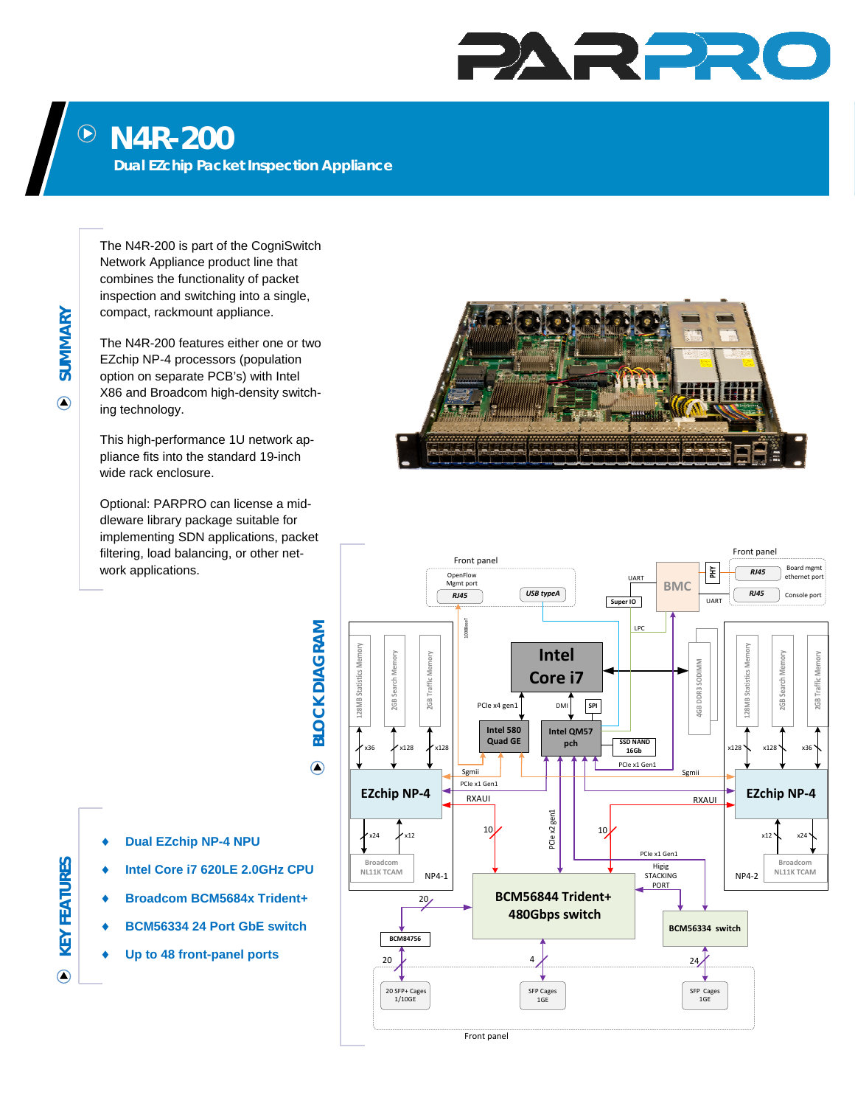## PARPRO

## **N4R-200**   $\bigodot$

**Dual EZchip Packet Inspection Appliance** 

The N4R-200 is part of the CogniSwitch Network Appliance product line that combines the functionality of packet inspection and switching into a single, compact, rackmount appliance.

The N4R-200 features either one or two EZchip NP-4 processors (population option on separate PCB's) with Intel X86 and Broadcom high-density switching technology.

This high-performance 1U network appliance fits into the standard 19-inch wide rack enclosure.

Optional: PARPRO can license a middleware library package suitable for implementing SDN applications, packet filtering, load balancing, or other network applications.





**Dual EZchip NP-4 NPU** 

- **Intel Core i7 620LE 2.0GHz CPU**
- **Broadcom BCM5684x Trident+**
- **BCM56334 24 Port GbE switch Up to 48 front-panel ports**
- 

**SUMMARY** 

**SUMMARY** 

 $\bigcirc$